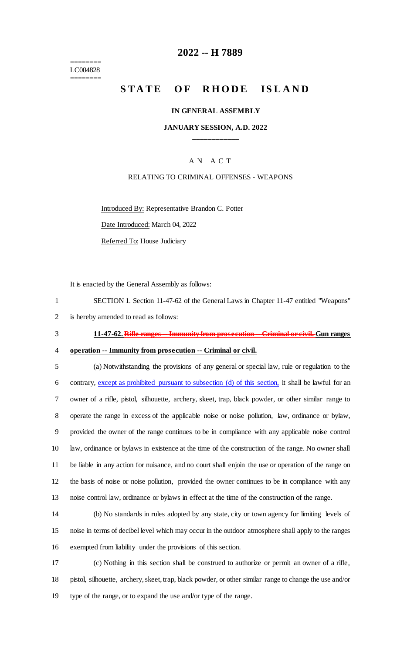======== LC004828 ========

### **-- H 7889**

# **STATE OF RHODE ISLAND**

#### **IN GENERAL ASSEMBLY**

### **JANUARY SESSION, A.D. 2022 \_\_\_\_\_\_\_\_\_\_\_\_**

### A N A C T

#### RELATING TO CRIMINAL OFFENSES - WEAPONS

Introduced By: Representative Brandon C. Potter

Date Introduced: March 04, 2022

Referred To: House Judiciary

It is enacted by the General Assembly as follows:

 SECTION 1. Section 11-47-62 of the General Laws in Chapter 11-47 entitled "Weapons" is hereby amended to read as follows:

**11-47-62. Rifle ranges -- Immunity from prosecution -- Criminal or civil. Gun ranges**

**operation -- Immunity from prosecution -- Criminal or civil.**

 (a) Notwithstanding the provisions of any general or special law, rule or regulation to the contrary, except as prohibited pursuant to subsection (d) of this section, it shall be lawful for an owner of a rifle, pistol, silhouette, archery, skeet, trap, black powder, or other similar range to operate the range in excess of the applicable noise or noise pollution, law, ordinance or bylaw, provided the owner of the range continues to be in compliance with any applicable noise control law, ordinance or bylaws in existence at the time of the construction of the range. No owner shall be liable in any action for nuisance, and no court shall enjoin the use or operation of the range on the basis of noise or noise pollution, provided the owner continues to be in compliance with any noise control law, ordinance or bylaws in effect at the time of the construction of the range.

 (b) No standards in rules adopted by any state, city or town agency for limiting levels of noise in terms of decibel level which may occur in the outdoor atmosphere shall apply to the ranges exempted from liability under the provisions of this section.

 (c) Nothing in this section shall be construed to authorize or permit an owner of a rifle, pistol, silhouette, archery, skeet, trap, black powder, or other similar range to change the use and/or type of the range, or to expand the use and/or type of the range.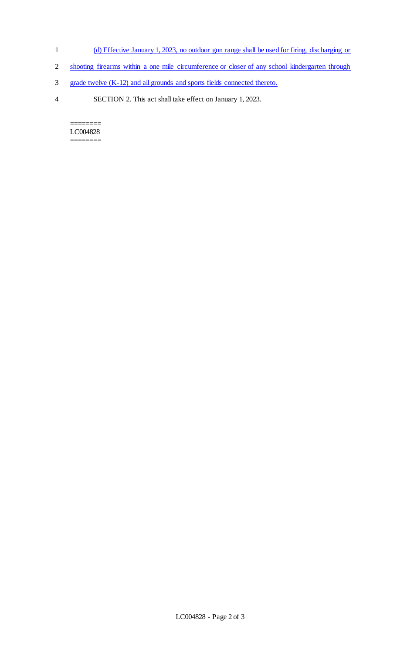- 1 (d) Effective January 1, 2023, no outdoor gun range shall be used for firing, discharging or
- 2 shooting firearms within a one mile circumference or closer of any school kindergarten through
- 3 grade twelve (K-12) and all grounds and sports fields connected thereto.
- 4 SECTION 2. This act shall take effect on January 1, 2023.

======== LC004828 ========